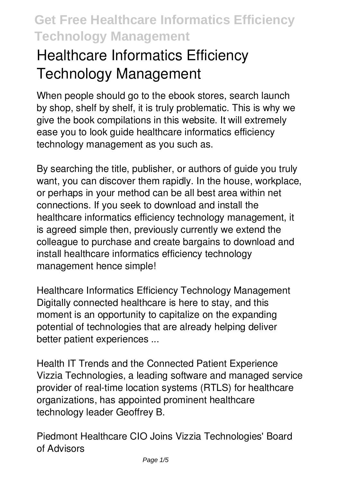# **Healthcare Informatics Efficiency Technology Management**

When people should go to the ebook stores, search launch by shop, shelf by shelf, it is truly problematic. This is why we give the book compilations in this website. It will extremely ease you to look guide **healthcare informatics efficiency technology management** as you such as.

By searching the title, publisher, or authors of guide you truly want, you can discover them rapidly. In the house, workplace, or perhaps in your method can be all best area within net connections. If you seek to download and install the healthcare informatics efficiency technology management, it is agreed simple then, previously currently we extend the colleague to purchase and create bargains to download and install healthcare informatics efficiency technology management hence simple!

*Healthcare Informatics Efficiency Technology Management* Digitally connected healthcare is here to stay, and this moment is an opportunity to capitalize on the expanding potential of technologies that are already helping deliver better patient experiences ...

*Health IT Trends and the Connected Patient Experience* Vizzia Technologies, a leading software and managed service provider of real-time location systems (RTLS) for healthcare organizations, has appointed prominent healthcare technology leader Geoffrey B.

*Piedmont Healthcare CIO Joins Vizzia Technologies' Board of Advisors*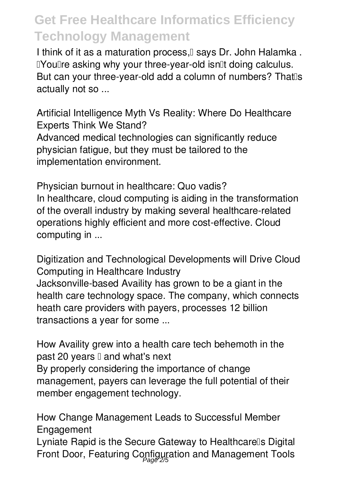I think of it as a maturation process.<sup>[]</sup> says Dr. John Halamka. I'You're asking why your three-year-old isn'llt doing calculus. But can your three-year-old add a column of numbers? That<sup>n</sup>s actually not so ...

*Artificial Intelligence Myth Vs Reality: Where Do Healthcare Experts Think We Stand?* Advanced medical technologies can significantly reduce physician fatigue, but they must be tailored to the implementation environment.

*Physician burnout in healthcare: Quo vadis?* In healthcare, cloud computing is aiding in the transformation of the overall industry by making several healthcare-related operations highly efficient and more cost-effective. Cloud computing in ...

*Digitization and Technological Developments will Drive Cloud Computing in Healthcare Industry* Jacksonville-based Availity has grown to be a giant in the health care technology space. The company, which connects heath care providers with payers, processes 12 billion transactions a year for some ...

*How Availity grew into a health care tech behemoth in the past 20 years — and what's next* By properly considering the importance of change management, payers can leverage the full potential of their member engagement technology.

*How Change Management Leads to Successful Member Engagement*

Lyniate Rapid is the Secure Gateway to Healthcarells Digital Front Door, Featuring Configuration and Management Tools Page 2/5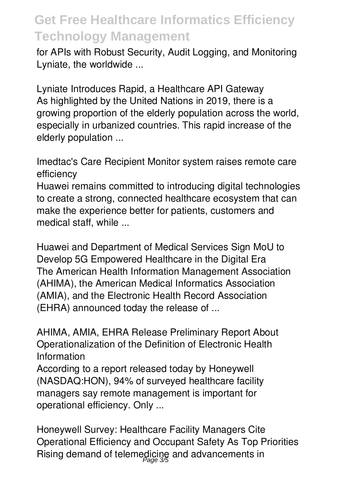for APIs with Robust Security, Audit Logging, and Monitoring Lyniate, the worldwide ...

*Lyniate Introduces Rapid, a Healthcare API Gateway* As highlighted by the United Nations in 2019, there is a growing proportion of the elderly population across the world, especially in urbanized countries. This rapid increase of the elderly population ...

*Imedtac's Care Recipient Monitor system raises remote care efficiency*

Huawei remains committed to introducing digital technologies to create a strong, connected healthcare ecosystem that can make the experience better for patients, customers and medical staff, while ...

*Huawei and Department of Medical Services Sign MoU to Develop 5G Empowered Healthcare in the Digital Era* The American Health Information Management Association (AHIMA), the American Medical Informatics Association (AMIA), and the Electronic Health Record Association (EHRA) announced today the release of ...

*AHIMA, AMIA, EHRA Release Preliminary Report About Operationalization of the Definition of Electronic Health Information*

According to a report released today by Honeywell (NASDAQ:HON), 94% of surveyed healthcare facility managers say remote management is important for operational efficiency. Only ...

*Honeywell Survey: Healthcare Facility Managers Cite Operational Efficiency and Occupant Safety As Top Priorities* Rising demand of telemedicine and advancements in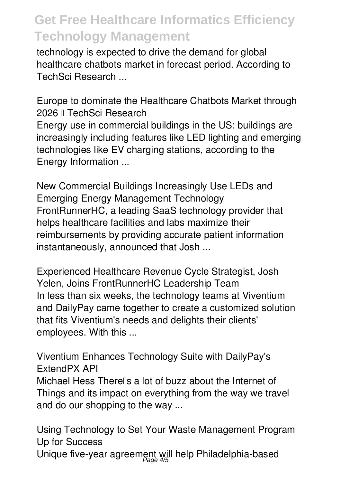technology is expected to drive the demand for global healthcare chatbots market in forecast period. According to TechSci Research ...

*Europe to dominate the Healthcare Chatbots Market through 2026 – TechSci Research* Energy use in commercial buildings in the US: buildings are increasingly including features like LED lighting and emerging technologies like EV charging stations, according to the Energy Information ...

*New Commercial Buildings Increasingly Use LEDs and Emerging Energy Management Technology* FrontRunnerHC, a leading SaaS technology provider that helps healthcare facilities and labs maximize their reimbursements by providing accurate patient information instantaneously, announced that Josh ...

*Experienced Healthcare Revenue Cycle Strategist, Josh Yelen, Joins FrontRunnerHC Leadership Team* In less than six weeks, the technology teams at Viventium and DailyPay came together to create a customized solution that fits Viventium's needs and delights their clients' employees. With this ...

*Viventium Enhances Technology Suite with DailyPay's ExtendPX API*

Michael Hess Therells a lot of buzz about the Internet of Things and its impact on everything from the way we travel and do our shopping to the way ...

*Using Technology to Set Your Waste Management Program Up for Success* Unique five-year agreement will help Philadelphia-based Page 4/5